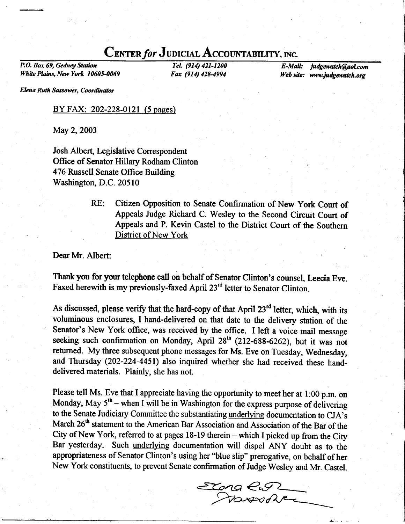## **CENTER for JUDICIAL ACCOUNTABILITY, INC.**<br>Tel. (914) 421-1200 **E-Mail:**

P.O. Box 69, Gedney Station White Plains, New York 10605-0069

TeL (914) 421-1200 Fax (914) 428-4994

judgewatch@aol.com Web site: www.judgewatch.org

Elena Ruth Sassower, Coordinator

## BY FAX: 202-228-0121 (5 pages)

May 2, 2003

Josh Albert, Legislative Correspondent Office of Senator Hillary Rodham Clinton 476 Russell Senate Office Building Washington, D.C. 20510

> RE: Citizen Opposition to Senate Confirmation of New York Court of Appeals Judge Richard C. Wesley to the Second Circuit Court of Appeals and P. Kevin Castel to the District Court of the Southern District of New York

Dear Mr. Albert

Thank you for your telephone call on behalf of Senator Clinton's counsel, Leecia Eve. Faxed herewith is my previously-faxed April 23<sup>rd</sup> letter to Senator Clinton.

As discussed, please verify that the hard-copy of that April  $23<sup>rd</sup>$  letter, which, with its voluminous enclosures, I hand-delivered on that date to the detivery station of the Senator's New York office, was received by the office. I left a voice mail message seeking such confirmation on Monday, April  $28<sup>th</sup>$  (212-688-6262), but it was not refurned. My three subsequent phone messages for Ms. Eve on Tuesday, Wednesday, and Thursday (202-224-4451) also inquired whether she had received these handdelivered materials. Plainly, she has not.

Please tell Ms. Eve that I appreciate having the opportunity to meet her at 1:00 p.m. on Monday, May  $5<sup>th</sup>$  – when I will be in Washington for the express purpose of delivering to the Senate Judiciary Committee the substantiating underlying documentation to CJA's March 26<sup>th</sup> statement to the American Bar Association and Association of the Bar of the City of New York, referred to at pages 18-19 therein - which I picked up from the City Bar yesterday. Such underlying documentation will dispet ANY doubt as to the appropriateness of Senator Clinton's using her "blue slip" prerogative, on behalf of her New York constituents, to prevent Senate confirmation of Judge Wesley and Mr. Castel.

 $x<sub>ora</sub>$ fuorevdTt<